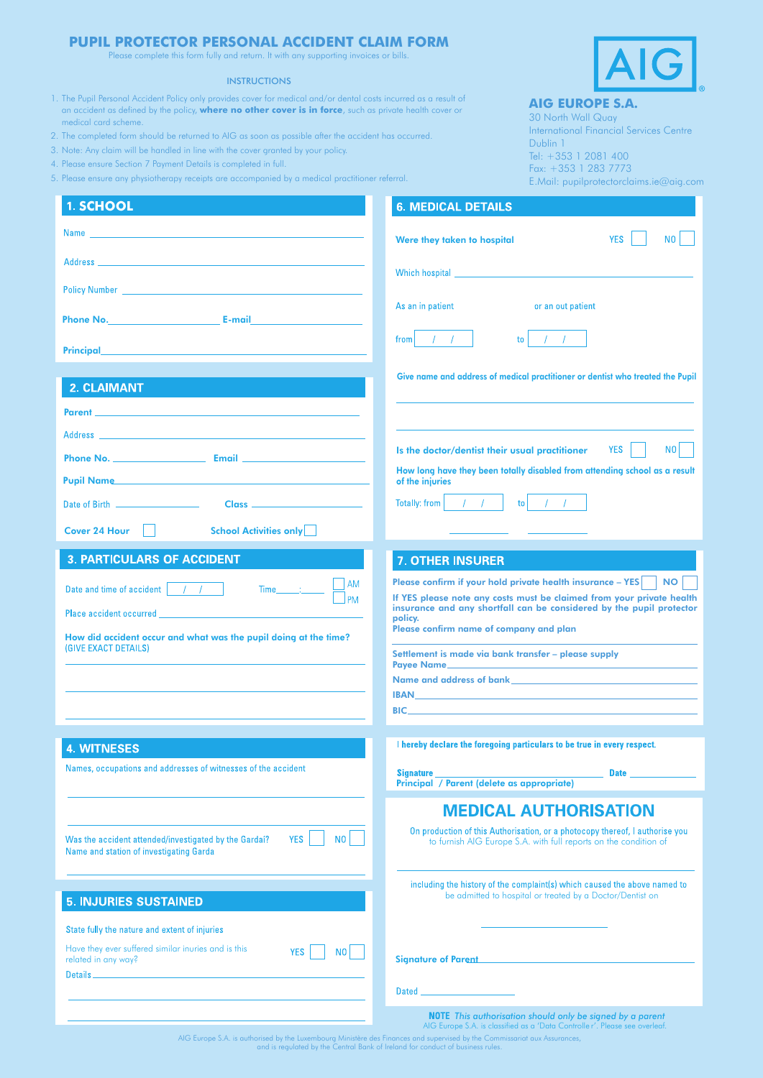## **PUPIL PROTECTOR PERSONAL ACCIDENT CLAIM FORM**

Please complete this form fully and return. It with any supporting invoices or bills.

## **INSTRUCTIONS**

- 1. The Pupil Personal Accident Policy only provides cover for medical and/or dental costs incurred as a result of an accident as defined by the policy, **where no other cover is in force**, such as private health cover or medical card scheme.
- 2. The completed form should be returned to AIG as soon as possible after the accident has occurred.
- 3. Note: Any claim will be handled in line with the cover granted by your policy.
- 4. Please ensure Section 7 Payment Details is completed in full.
- 5. Please ensure any physiotherapy receipts are accompanied by a medical practitioner referral.



## **AIG EUROPE S.A.**

30 North Wall Quay International Financial Services Centre Dublin 1 Tel: +353 1 2081 400 Fax: +353 1 283 7773 E.Mail: pupilprotectorclaims.ie@aig.com

| 1. SCHOOL                                                                                                                                                                                                                                                                                                                                          | <b>6. MEDICAL DETAILS</b>                                                                                                                                                                                                                                                                                                                                                                                                                                                                                                             |
|----------------------------------------------------------------------------------------------------------------------------------------------------------------------------------------------------------------------------------------------------------------------------------------------------------------------------------------------------|---------------------------------------------------------------------------------------------------------------------------------------------------------------------------------------------------------------------------------------------------------------------------------------------------------------------------------------------------------------------------------------------------------------------------------------------------------------------------------------------------------------------------------------|
| Name                                                                                                                                                                                                                                                                                                                                               | <b>YES</b><br>N <sub>0</sub><br>Were they taken to hospital                                                                                                                                                                                                                                                                                                                                                                                                                                                                           |
|                                                                                                                                                                                                                                                                                                                                                    |                                                                                                                                                                                                                                                                                                                                                                                                                                                                                                                                       |
| Policy Number <b>Provident Contract Contract Contract Contract Contract Contract Contract Contract Contract Contract Contract Contract Contract Contract Contract Contract Contract Contract Contract Contract Contract Contract</b>                                                                                                               |                                                                                                                                                                                                                                                                                                                                                                                                                                                                                                                                       |
|                                                                                                                                                                                                                                                                                                                                                    | As an in patient<br>or an out patient                                                                                                                                                                                                                                                                                                                                                                                                                                                                                                 |
| Principal <b>Executive Contract Contract Contract Contract Contract Contract Contract Contract Contract Contract Contract Contract Contract Contract Contract Contract Contract Contract Contract Contract Contract Contract Con</b>                                                                                                               | from $\left  \begin{array}{cc} \end{array} \right $ / /<br>$\frac{1}{2}$<br>$\overline{a}$                                                                                                                                                                                                                                                                                                                                                                                                                                            |
|                                                                                                                                                                                                                                                                                                                                                    | Give name and address of medical practitioner or dentist who treated the Pupil                                                                                                                                                                                                                                                                                                                                                                                                                                                        |
| <b>2. CLAIMANT</b>                                                                                                                                                                                                                                                                                                                                 |                                                                                                                                                                                                                                                                                                                                                                                                                                                                                                                                       |
|                                                                                                                                                                                                                                                                                                                                                    |                                                                                                                                                                                                                                                                                                                                                                                                                                                                                                                                       |
|                                                                                                                                                                                                                                                                                                                                                    | N0<br><b>YES</b><br>Is the doctor/dentist their usual practitioner                                                                                                                                                                                                                                                                                                                                                                                                                                                                    |
| Pupil Name                                                                                                                                                                                                                                                                                                                                         | How long have they been totally disabled from attending school as a result                                                                                                                                                                                                                                                                                                                                                                                                                                                            |
|                                                                                                                                                                                                                                                                                                                                                    | of the injuries<br>$\mathsf{to}$ / /                                                                                                                                                                                                                                                                                                                                                                                                                                                                                                  |
| Date of Birth _____________________                                                                                                                                                                                                                                                                                                                | $\left  \begin{array}{cc} 1 & 1 \end{array} \right $<br>Totally: from                                                                                                                                                                                                                                                                                                                                                                                                                                                                 |
| <b>School Activities only</b><br>Cover 24 Hour                                                                                                                                                                                                                                                                                                     |                                                                                                                                                                                                                                                                                                                                                                                                                                                                                                                                       |
| <b>3. PARTICULARS OF ACCIDENT</b>                                                                                                                                                                                                                                                                                                                  | <b>7. OTHER INSURER</b>                                                                                                                                                                                                                                                                                                                                                                                                                                                                                                               |
| AM<br>$Time$ $\qquad$<br>Date and time of accident   / /  <br><b>PM</b><br>Place accident occurred<br>How did accident occur and what was the pupil doing at the time?<br>(GIVE EXACT DETAILS)                                                                                                                                                     | Please confirm if your hold private health insurance - YES<br><b>NO</b><br>If YES please note any costs must be claimed from your private health<br>insurance and any shortfall can be considered by the pupil protector<br>policy.<br>Please confirm name of company and plan<br>Settlement is made via bank transfer - please supply<br><b>Payee Name_</b><br>Name and address of bank <b>Change and School Community</b> and the state of the state of the state of the state of the<br><b>BIC BIC <i>CONTRACTE <b>BIC</b></i></b> |
| <b>4. WITNESES</b>                                                                                                                                                                                                                                                                                                                                 | I hereby declare the foregoing particulars to be true in every respect.                                                                                                                                                                                                                                                                                                                                                                                                                                                               |
| Names, occupations and addresses of witnesses of the accident                                                                                                                                                                                                                                                                                      | <b>Signature</b><br><b>Date</b><br>Principal / Parent (delete as appropriate)                                                                                                                                                                                                                                                                                                                                                                                                                                                         |
| <b>YES</b><br>N <sub>0</sub><br>Was the accident attended/investigated by the Gardai?<br>Name and station of investigating Garda                                                                                                                                                                                                                   | <b>MEDICAL AUTHORISATION</b><br>On production of this Authorisation, or a photocopy thereof, I authorise you<br>to furnish AIG Europe S.A. with full reports on the condition of                                                                                                                                                                                                                                                                                                                                                      |
| <b>5. INJURIES SUSTAINED</b>                                                                                                                                                                                                                                                                                                                       | including the history of the complaint(s) which caused the above named to<br>be admitted to hospital or treated by a Doctor/Dentist on                                                                                                                                                                                                                                                                                                                                                                                                |
| State fully the nature and extent of injuries                                                                                                                                                                                                                                                                                                      |                                                                                                                                                                                                                                                                                                                                                                                                                                                                                                                                       |
| Have they ever suffered similar inuries and is this<br><b>YES</b><br>N <sub>0</sub><br>related in any way?<br>Details <b>Experimental Contract Contract Contract Contract Contract Contract Contract Contract Contract Contract Contract Contract Contract Contract Contract Contract Contract Contract Contract Contract Contract Contract Co</b> | Signature of Parent <b>Executive Contract Contract Contract Contract Contract Contract Contract Contract Contract Contract Contract Contract Contract Contract Contract Contract Contract Contract Contract Contract Contract Co</b>                                                                                                                                                                                                                                                                                                  |
|                                                                                                                                                                                                                                                                                                                                                    | <b>Dated</b>                                                                                                                                                                                                                                                                                                                                                                                                                                                                                                                          |
|                                                                                                                                                                                                                                                                                                                                                    | NOTE This authorisation should only be signed by a parent<br>AIG Europe S.A. is classified as a 'Data Controlle r'. Please see overleaf.                                                                                                                                                                                                                                                                                                                                                                                              |

AIG Europe S.A. is authorised by the Luxembourg Ministère des Finances and supervised by the Commissariat aux Assurances, and is regulated by the Central Bank of Ireland for conduct of business rules.